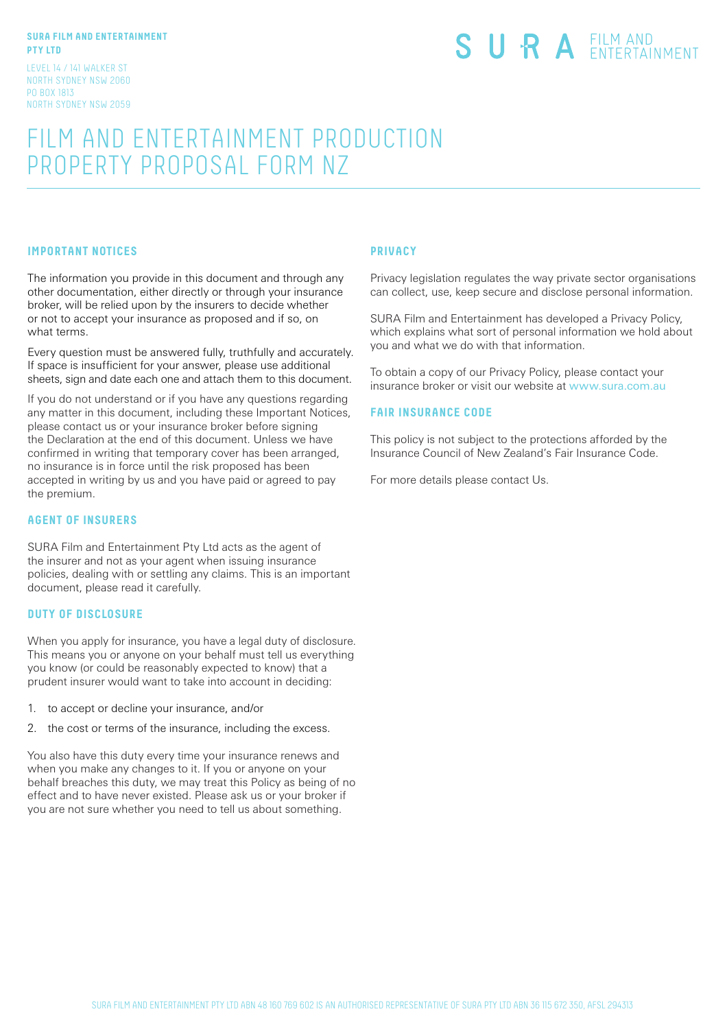#### **SURA FILM AND ENTERTAINMENT PTY LTD**

LEVEL 14 / 141 WALKER ST NORTH SYDNEY NSW 2060 PO BOX 1813 NORTH SYDNEY NSW 2059

# SURA EILM AND

# FILM AND ENTERTAINMENT PRODUCTION PROPERTY PROPOSAL FORM NZ

## **IMPORTANT NOTICES**

The information you provide in this document and through any other documentation, either directly or through your insurance broker, will be relied upon by the insurers to decide whether or not to accept your insurance as proposed and if so, on what terms.

Every question must be answered fully, truthfully and accurately. If space is insufficient for your answer, please use additional sheets, sign and date each one and attach them to this document.

If you do not understand or if you have any questions regarding any matter in this document, including these Important Notices, please contact us or your insurance broker before signing the Declaration at the end of this document. Unless we have confirmed in writing that temporary cover has been arranged, no insurance is in force until the risk proposed has been accepted in writing by us and you have paid or agreed to pay the premium.

#### **AGENT OF INSURERS**

SURA Film and Entertainment Pty Ltd acts as the agent of the insurer and not as your agent when issuing insurance policies, dealing with or settling any claims. This is an important document, please read it carefully.

#### **DUTY OF DISCLOSURE**

When you apply for insurance, you have a legal duty of disclosure. This means you or anyone on your behalf must tell us everything you know (or could be reasonably expected to know) that a prudent insurer would want to take into account in deciding:

- 1. to accept or decline your insurance, and/or
- 2. the cost or terms of the insurance, including the excess.

You also have this duty every time your insurance renews and when you make any changes to it. If you or anyone on your behalf breaches this duty, we may treat this Policy as being of no effect and to have never existed. Please ask us or your broker if you are not sure whether you need to tell us about something.

#### **PRIVACY**

Privacy legislation regulates the way private sector organisations can collect, use, keep secure and disclose personal information.

SURA Film and Entertainment has developed a Privacy Policy, which explains what sort of personal information we hold about you and what we do with that information.

To obtain a copy of our Privacy Policy, please contact your insurance broker or visit our website at www.sura.com.au

#### **FAIR INSURANCE CODE**

This policy is not subject to the protections afforded by the Insurance Council of New Zealand's Fair Insurance Code.

For more details please contact Us.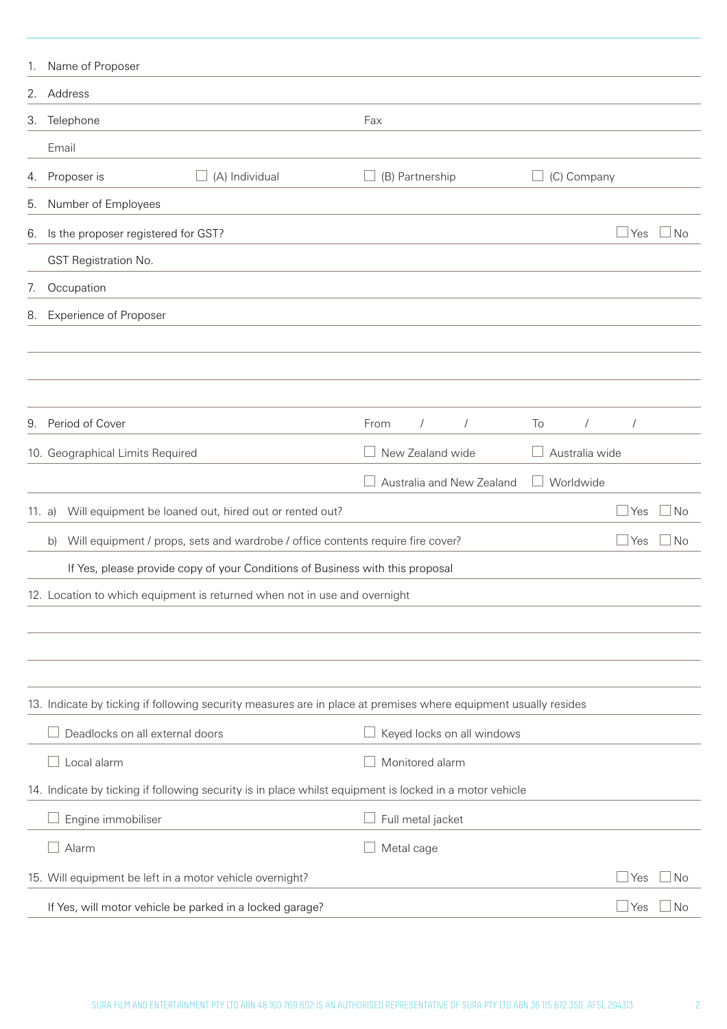| 1.     | Name of Proposer                                                                                                |                                |                  |              |           |
|--------|-----------------------------------------------------------------------------------------------------------------|--------------------------------|------------------|--------------|-----------|
| 2.     | Address                                                                                                         |                                |                  |              |           |
| 3.     | Telephone                                                                                                       | Fax                            |                  |              |           |
|        | Email                                                                                                           |                                |                  |              |           |
| 4.     | (A) Individual<br>Proposer is<br>$\Box$                                                                         | (B) Partnership                | (C) Company      |              |           |
| 5.     | Number of Employees                                                                                             |                                |                  |              |           |
| 6.     | Is the proposer registered for GST?                                                                             |                                |                  | Yes          | l No      |
|        | <b>GST Registration No.</b>                                                                                     |                                |                  |              |           |
| 7.     | Occupation                                                                                                      |                                |                  |              |           |
| 8.     | <b>Experience of Proposer</b>                                                                                   |                                |                  |              |           |
|        |                                                                                                                 |                                |                  |              |           |
|        |                                                                                                                 |                                |                  |              |           |
|        |                                                                                                                 |                                |                  |              |           |
| 9.     | Period of Cover                                                                                                 | From<br>$\prime$<br>$\sqrt{2}$ | To<br>$\sqrt{2}$ |              |           |
|        | 10. Geographical Limits Required                                                                                | New Zealand wide               | Australia wide   |              |           |
|        |                                                                                                                 | Australia and New Zealand      | Worldwide        |              |           |
| 11. a) | Will equipment be loaned out, hired out or rented out?                                                          |                                |                  | Yes          | No        |
|        | Will equipment / props, sets and wardrobe / office contents require fire cover?<br>b)                           |                                |                  | Yes          | No        |
|        | If Yes, please provide copy of your Conditions of Business with this proposal                                   |                                |                  |              |           |
|        | 12. Location to which equipment is returned when not in use and overnight                                       |                                |                  |              |           |
|        |                                                                                                                 |                                |                  |              |           |
|        |                                                                                                                 |                                |                  |              |           |
|        |                                                                                                                 |                                |                  |              |           |
|        | 13. Indicate by ticking if following security measures are in place at premises where equipment usually resides |                                |                  |              |           |
|        | Deadlocks on all external doors                                                                                 | Keyed locks on all windows     |                  |              |           |
|        | Local alarm                                                                                                     | Monitored alarm                |                  |              |           |
|        | 14. Indicate by ticking if following security is in place whilst equipment is locked in a motor vehicle         |                                |                  |              |           |
|        | Engine immobiliser                                                                                              | Full metal jacket              |                  |              |           |
|        | Alarm                                                                                                           | Metal cage                     |                  |              |           |
|        | 15. Will equipment be left in a motor vehicle overnight?                                                        |                                |                  | $\Box$ Yes   | $\Box$ No |
|        | If Yes, will motor vehicle be parked in a locked garage?                                                        |                                |                  | $\sqcup$ Yes | $\Box$ No |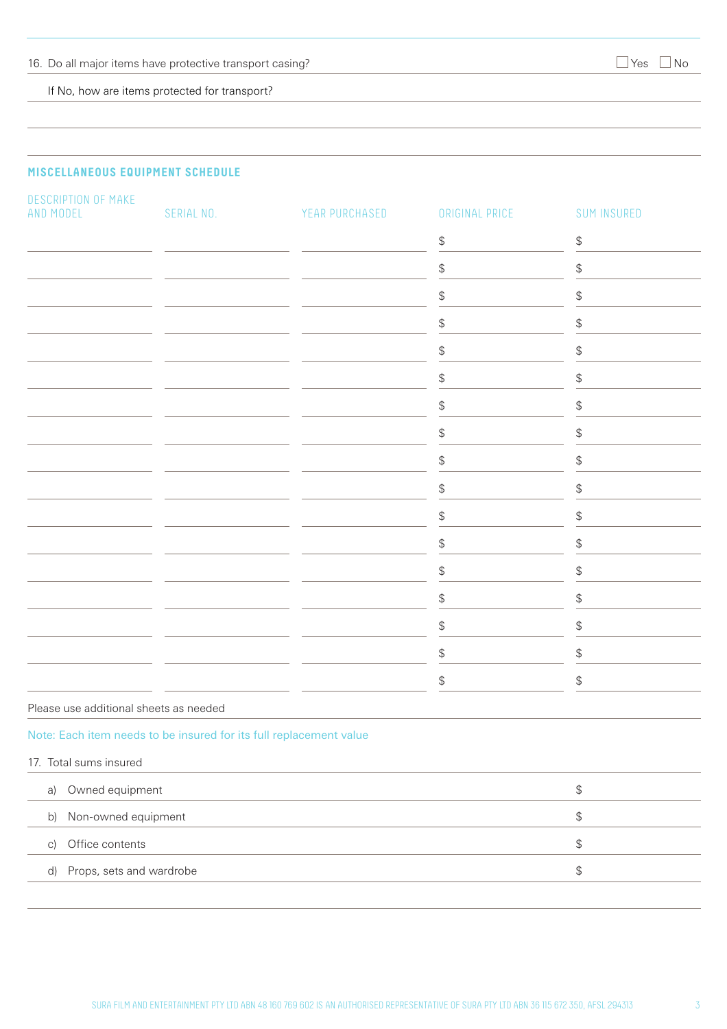If No, how are items protected for transport?

# **MISCELLANEOUS EQUIPMENT SCHEDULE**

| DESCRIPTION OF MAKE<br>AND MODEL                                   | SERIAL NO. | YEAR PURCHASED | ORIGINAL PRICE                                | <b>SUM INSURED</b>                            |
|--------------------------------------------------------------------|------------|----------------|-----------------------------------------------|-----------------------------------------------|
|                                                                    |            |                | $\, \, \raisebox{12pt}{$\scriptstyle \$}$     | \$                                            |
|                                                                    |            |                | ${\boldsymbol{\mathfrak{P}}}$                 | \$                                            |
|                                                                    |            |                | $\, \varphi$                                  | \$                                            |
|                                                                    |            |                | ${\boldsymbol{\mathfrak{P}}}$                 | \$                                            |
|                                                                    |            |                | $\, \, \raisebox{12pt}{$\scriptstyle \circ$}$ | \$                                            |
|                                                                    |            |                | ${\boldsymbol{\mathfrak{P}}}$                 | \$                                            |
|                                                                    |            |                | $\, \, \raisebox{12pt}{$\scriptstyle \circ$}$ | \$                                            |
|                                                                    |            |                | ${\mathbb S}$                                 | \$                                            |
|                                                                    |            |                | ${\mathbb S}$                                 | \$                                            |
|                                                                    |            |                | ${\mathbb S}$                                 | \$                                            |
|                                                                    |            |                | $\, \varphi$                                  | $\, \, \raisebox{12pt}{$\scriptstyle \circ$}$ |
|                                                                    |            |                | $\, \, \raisebox{12pt}{$\scriptstyle \circ$}$ | \$                                            |
|                                                                    |            |                | $\, \, \raisebox{12pt}{$\scriptstyle \circ$}$ | \$                                            |
|                                                                    |            |                | ${\boldsymbol{\mathfrak{P}}}$                 | \$                                            |
|                                                                    |            |                | $\, \, \raisebox{12pt}{$\scriptstyle \$}$     | \$                                            |
|                                                                    |            |                | ${\mathbb S}$                                 | \$                                            |
|                                                                    |            |                | ${\boldsymbol{\mathfrak{P}}}$                 | \$                                            |
| Please use additional sheets as needed                             |            |                |                                               |                                               |
| Note: Each item needs to be insured for its full replacement value |            |                |                                               |                                               |
| 17. Total sums insured                                             |            |                |                                               |                                               |
| Owned equipment<br>a)                                              |            |                |                                               | $\, \, \raisebox{12pt}{$\scriptstyle \circ$}$ |
| Non-owned equipment<br>b)                                          |            |                |                                               | $\, \, \raisebox{12pt}{$\scriptstyle \circ$}$ |
| Office contents<br>$\vert$ C)                                      |            |                |                                               | $\, \, \raisebox{12pt}{$\scriptstyle \circ$}$ |
| Props, sets and wardrobe<br>d)                                     |            |                |                                               | \$                                            |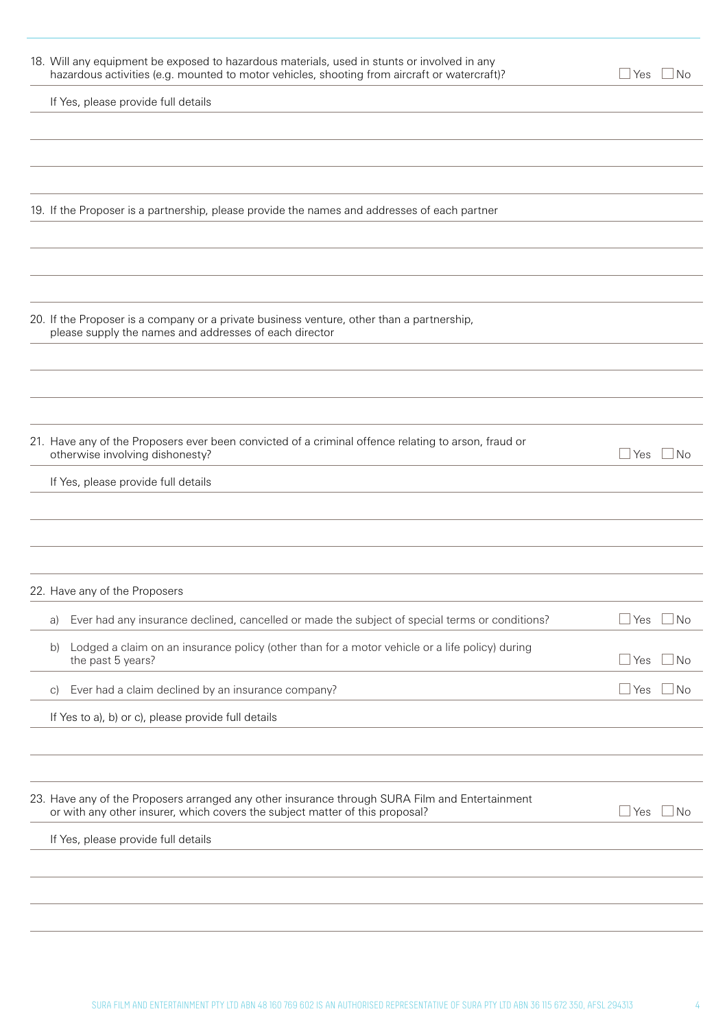| 18. Will any equipment be exposed to hazardous materials, used in stunts or involved in any<br>hazardous activities (e.g. mounted to motor vehicles, shooting from aircraft or watercraft)? | ⊿ Yes<br>$\Box$ No   |
|---------------------------------------------------------------------------------------------------------------------------------------------------------------------------------------------|----------------------|
| If Yes, please provide full details                                                                                                                                                         |                      |
|                                                                                                                                                                                             |                      |
|                                                                                                                                                                                             |                      |
|                                                                                                                                                                                             |                      |
| 19. If the Proposer is a partnership, please provide the names and addresses of each partner                                                                                                |                      |
|                                                                                                                                                                                             |                      |
|                                                                                                                                                                                             |                      |
|                                                                                                                                                                                             |                      |
| 20. If the Proposer is a company or a private business venture, other than a partnership,<br>please supply the names and addresses of each director                                         |                      |
|                                                                                                                                                                                             |                      |
|                                                                                                                                                                                             |                      |
| 21. Have any of the Proposers ever been convicted of a criminal offence relating to arson, fraud or<br>otherwise involving dishonesty?                                                      | $\sqcup$ Yes<br>l No |
| If Yes, please provide full details                                                                                                                                                         |                      |
|                                                                                                                                                                                             |                      |
|                                                                                                                                                                                             |                      |
|                                                                                                                                                                                             |                      |
| 22. Have any of the Proposers                                                                                                                                                               |                      |
| Ever had any insurance declined, cancelled or made the subject of special terms or conditions?<br>a)                                                                                        | l No<br>$\sqcup$ Yes |
| Lodged a claim on an insurance policy (other than for a motor vehicle or a life policy) during<br>b)<br>the past 5 years?                                                                   | No<br>$\sqcup$ Yes   |
| Ever had a claim declined by an insurance company?<br>$\vert$ C)                                                                                                                            | l No<br>$\sqcup$ Yes |
| If Yes to a), b) or c), please provide full details                                                                                                                                         |                      |
|                                                                                                                                                                                             |                      |
| 23. Have any of the Proposers arranged any other insurance through SURA Film and Entertainment<br>or with any other insurer, which covers the subject matter of this proposal?              | No<br>$\Box$ Yes     |
| If Yes, please provide full details                                                                                                                                                         |                      |
|                                                                                                                                                                                             |                      |
|                                                                                                                                                                                             |                      |
|                                                                                                                                                                                             |                      |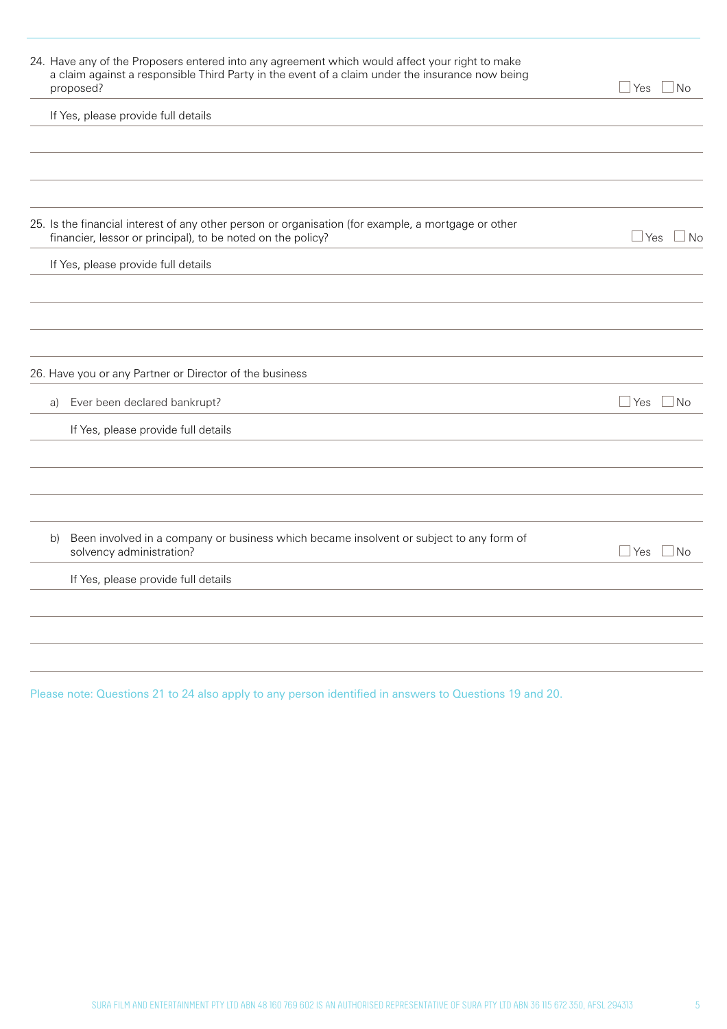| 24. Have any of the Proposers entered into any agreement which would affect your right to make<br>a claim against a responsible Third Party in the event of a claim under the insurance now being<br>proposed? | ⊥Yes □ No          |
|----------------------------------------------------------------------------------------------------------------------------------------------------------------------------------------------------------------|--------------------|
| If Yes, please provide full details                                                                                                                                                                            |                    |
|                                                                                                                                                                                                                |                    |
|                                                                                                                                                                                                                |                    |
|                                                                                                                                                                                                                |                    |
| 25. Is the financial interest of any other person or organisation (for example, a mortgage or other<br>financier, lessor or principal), to be noted on the policy?                                             | $\Box$ Yes<br>⊥No  |
| If Yes, please provide full details                                                                                                                                                                            |                    |
|                                                                                                                                                                                                                |                    |
|                                                                                                                                                                                                                |                    |
|                                                                                                                                                                                                                |                    |
| 26. Have you or any Partner or Director of the business                                                                                                                                                        |                    |
| Ever been declared bankrupt?<br>a)                                                                                                                                                                             | $\Box$ No<br>Yes   |
| If Yes, please provide full details                                                                                                                                                                            |                    |
|                                                                                                                                                                                                                |                    |
|                                                                                                                                                                                                                |                    |
|                                                                                                                                                                                                                |                    |
| Been involved in a company or business which became insolvent or subject to any form of<br>b)<br>solvency administration?                                                                                      | $\Box$ No<br>l Yes |
| If Yes, please provide full details                                                                                                                                                                            |                    |
|                                                                                                                                                                                                                |                    |
|                                                                                                                                                                                                                |                    |
|                                                                                                                                                                                                                |                    |
|                                                                                                                                                                                                                |                    |

Please note: Questions 21 to 24 also apply to any person identified in answers to Questions 19 and 20.